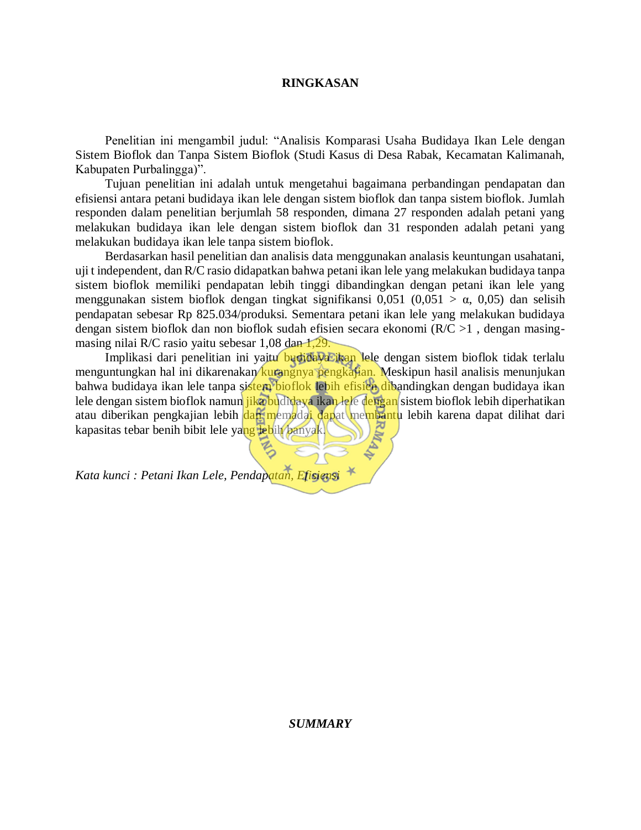## **RINGKASAN**

Penelitian ini mengambil judul: "Analisis Komparasi Usaha Budidaya Ikan Lele dengan Sistem Bioflok dan Tanpa Sistem Bioflok (Studi Kasus di Desa Rabak, Kecamatan Kalimanah, Kabupaten Purbalingga)".

Tujuan penelitian ini adalah untuk mengetahui bagaimana perbandingan pendapatan dan efisiensi antara petani budidaya ikan lele dengan sistem bioflok dan tanpa sistem bioflok. Jumlah responden dalam penelitian berjumlah 58 responden, dimana 27 responden adalah petani yang melakukan budidaya ikan lele dengan sistem bioflok dan 31 responden adalah petani yang melakukan budidaya ikan lele tanpa sistem bioflok.

Berdasarkan hasil penelitian dan analisis data menggunakan analasis keuntungan usahatani, uji t independent, dan R/C rasio didapatkan bahwa petani ikan lele yang melakukan budidaya tanpa sistem bioflok memiliki pendapatan lebih tinggi dibandingkan dengan petani ikan lele yang menggunakan sistem bioflok dengan tingkat signifikansi 0,051 (0,051 >  $\alpha$ , 0,05) dan selisih pendapatan sebesar Rp 825.034/produksi. Sementara petani ikan lele yang melakukan budidaya dengan sistem bioflok dan non bioflok sudah efisien secara ekonomi (R/C >1 , dengan masingmasing nilai R/C rasio yaitu sebesar 1,08 dan 1,29.

Implikasi dari penelitian ini yaitu budidaya ikan lele dengan sistem bioflok tidak terlalu menguntungkan hal ini dikarenakan kurangnya pengkajian. Meskipun hasil analisis menunjukan bahwa budidaya ikan lele tanpa sistem bioflok lebih efisien dibandingkan dengan budidaya ikan lele dengan sistem bioflok namun jika budidaya ikan lele dengan sistem bioflok lebih diperhatikan atau diberikan pengkajian lebih dan memadai dapat membantu lebih karena dapat dilihat dari kapasitas tebar benih bibit lele yang lebih banyak.

*Kata kunci : Petani Ikan Lele, Pendapatan, Efisiensi*

## *SUMMARY*